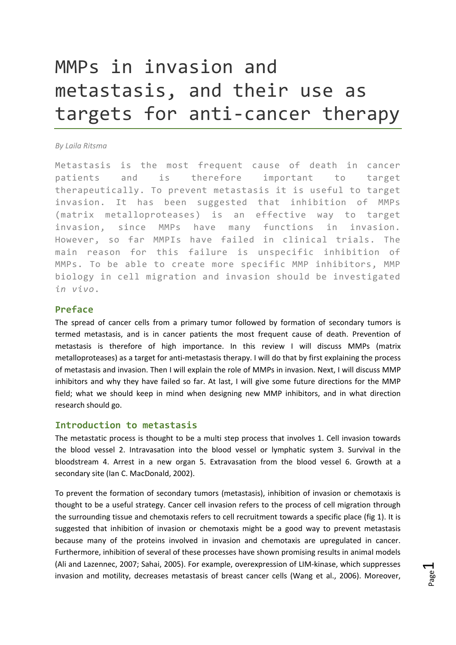# MMPs in invasion and metastasis, and their use as targets for anti‐cancer therapy

#### *By Laila Ritsma*

Metastasis is the most frequent cause of death in cancer patients and is therefore important to target therapeutically. To prevent metastasis it is useful to target invasion. It has been suggested that inhibition of MMPs (matrix metalloproteases) is an effective way to target invasion, since MMPs have many functions in invasion. However, so far MMPIs have failed in clinical trials. The main reason for this failure is unspecific inhibition of MMPs. To be able to create more specific MMP inhibitors, MMP biology in cell migration and invasion should be investigated *in vivo*.

# **Preface**

The spread of cancer cells from a primary tumor followed by formation of secondary tumors is termed metastasis, and is in cancer patients the most frequent cause of death. Prevention of metastasis is therefore of high importance. In this review I will discuss MMPs (matrix metalloproteases) as a target for anti‐metastasis therapy. I will do that by first explaining the process of metastasis and invasion. Then I will explain the role of MMPs in invasion. Next, I will discuss MMP inhibitors and why they have failed so far. At last, I will give some future directions for the MMP field; what we should keep in mind when designing new MMP inhibitors, and in what direction research should go.

#### **Introduction to metastasis**

The metastatic process is thought to be a multi step process that involves 1. Cell invasion towards the blood vessel 2. Intravasation into the blood vessel or lymphatic system 3. Survival in the bloodstream 4. Arrest in a new organ 5. Extravasation from the blood vessel 6. Growth at a secondary site (Ian C. MacDonald, 2002).

To prevent the formation of secondary tumors (metastasis), inhibition of invasion or chemotaxis is thought to be a useful strategy. Cancer cell invasion refers to the process of cell migration through the surrounding tissue and chemotaxis refers to cell recruitment towards a specific place (fig 1). It is suggested that inhibition of invasion or chemotaxis might be a good way to prevent metastasis because many of the proteins involved in invasion and chemotaxis are upregulated in cancer. Furthermore, inhibition of several of these processes have shown promising results in animal models (Ali and Lazennec, 2007; Sahai, 2005). For example, overexpression of LIM‐kinase, which suppresses invasion and motility, decreases metastasis of breast cancer cells (Wang et al., 2006). Moreover,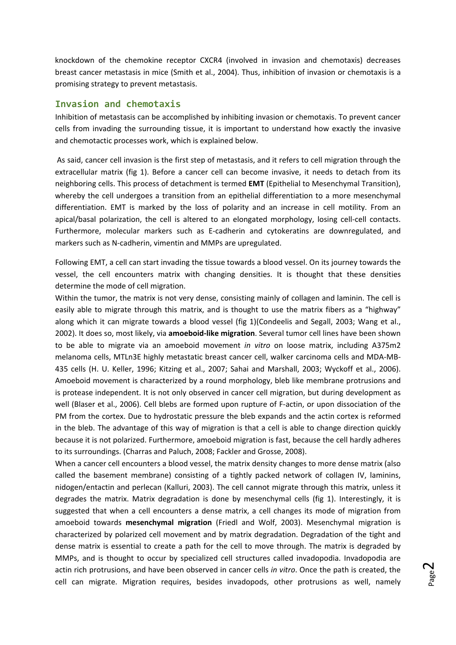knockdown of the chemokine receptor CXCR4 (involved in invasion and chemotaxis) decreases breast cancer metastasis in mice (Smith et al., 2004). Thus, inhibition of invasion or chemotaxis is a promising strategy to prevent metastasis.

#### **Invasion and chemotaxis**

Inhibition of metastasis can be accomplished by inhibiting invasion or chemotaxis. To prevent cancer cells from invading the surrounding tissue, it is important to understand how exactly the invasive and chemotactic processes work, which is explained below.

As said, cancer cell invasion is the first step of metastasis, and it refers to cell migration through the extracellular matrix (fig 1). Before a cancer cell can become invasive, it needs to detach from its neighboring cells. This process of detachment is termed **EMT** (Epithelial to Mesenchymal Transition), whereby the cell undergoes a transition from an epithelial differentiation to a more mesenchymal differentiation. EMT is marked by the loss of polarity and an increase in cell motility. From an apical/basal polarization, the cell is altered to an elongated morphology, losing cell‐cell contacts. Furthermore, molecular markers such as E-cadherin and cytokeratins are downregulated, and markers such as N-cadherin, vimentin and MMPs are upregulated.

Following EMT, a cell can start invading the tissue towards a blood vessel. On its journey towards the vessel, the cell encounters matrix with changing densities. It is thought that these densities determine the mode of cell migration.

Within the tumor, the matrix is not very dense, consisting mainly of collagen and laminin. The cell is easily able to migrate through this matrix, and is thought to use the matrix fibers as a "highway" along which it can migrate towards a blood vessel (fig 1)(Condeelis and Segall, 2003; Wang et al., 2002). It does so, most likely, via **amoeboid‐like migration**. Several tumor cell lines have been shown to be able to migrate via an amoeboid movement *in vitro* on loose matrix, including A375m2 melanoma cells, MTLn3E highly metastatic breast cancer cell, walker carcinoma cells and MDA‐MB‐ 435 cells (H. U. Keller, 1996; Kitzing et al., 2007; Sahai and Marshall, 2003; Wyckoff et al., 2006). Amoeboid movement is characterized by a round morphology, bleb like membrane protrusions and is protease independent. It is not only observed in cancer cell migration, but during development as well (Blaser et al., 2006). Cell blebs are formed upon rupture of F-actin, or upon dissociation of the PM from the cortex. Due to hydrostatic pressure the bleb expands and the actin cortex is reformed in the bleb. The advantage of this way of migration is that a cell is able to change direction quickly because it is not polarized. Furthermore, amoeboid migration is fast, because the cell hardly adheres to its surroundings. (Charras and Paluch, 2008; Fackler and Grosse, 2008).

When a cancer cell encounters a blood vessel, the matrix density changes to more dense matrix (also called the basement membrane) consisting of a tightly packed network of collagen IV, laminins, nidogen/entactin and perlecan (Kalluri, 2003). The cell cannot migrate through this matrix, unless it degrades the matrix. Matrix degradation is done by mesenchymal cells (fig 1). Interestingly, it is suggested that when a cell encounters a dense matrix, a cell changes its mode of migration from amoeboid towards **mesenchymal migration** (Friedl and Wolf, 2003). Mesenchymal migration is characterized by polarized cell movement and by matrix degradation. Degradation of the tight and dense matrix is essential to create a path for the cell to move through. The matrix is degraded by MMPs, and is thought to occur by specialized cell structures called invadopodia. Invadopodia are actin rich protrusions, and have been observed in cancer cells *in vitro*. Once the path is created, the cell can migrate. Migration requires, besides invadopods, other protrusions as well, namely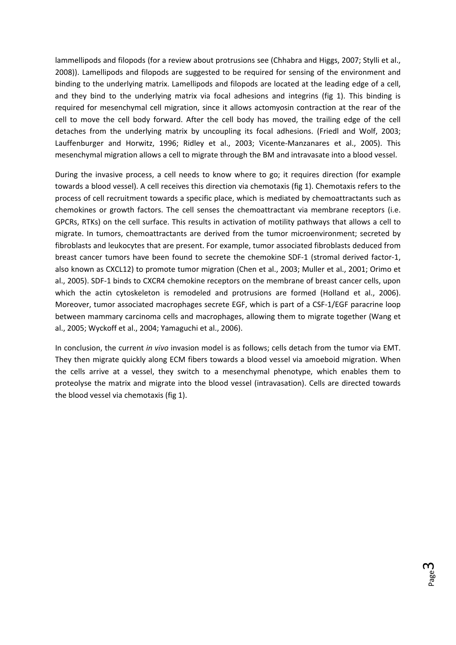lammellipods and filopods (for a review about protrusions see (Chhabra and Higgs, 2007; Stylli et al., 2008)). Lamellipods and filopods are suggested to be required for sensing of the environment and binding to the underlying matrix. Lamellipods and filopods are located at the leading edge of a cell, and they bind to the underlying matrix via focal adhesions and integrins (fig 1). This binding is required for mesenchymal cell migration, since it allows actomyosin contraction at the rear of the cell to move the cell body forward. After the cell body has moved, the trailing edge of the cell detaches from the underlying matrix by uncoupling its focal adhesions. (Friedl and Wolf, 2003; Lauffenburger and Horwitz, 1996; Ridley et al., 2003; Vicente‐Manzanares et al., 2005). This mesenchymal migration allows a cell to migrate through the BM and intravasate into a blood vessel.

During the invasive process, a cell needs to know where to go; it requires direction (for example towards a blood vessel). A cell receives this direction via chemotaxis (fig 1). Chemotaxis refers to the process of cell recruitment towards a specific place, which is mediated by chemoattractants such as chemokines or growth factors. The cell senses the chemoattractant via membrane receptors (i.e. GPCRs, RTKs) on the cell surface. This results in activation of motility pathways that allows a cell to migrate. In tumors, chemoattractants are derived from the tumor microenvironment; secreted by fibroblasts and leukocytes that are present. For example, tumor associated fibroblasts deduced from breast cancer tumors have been found to secrete the chemokine SDF‐1 (stromal derived factor‐1, also known as CXCL12) to promote tumor migration (Chen et al., 2003; Muller et al., 2001; Orimo et al., 2005). SDF‐1 binds to CXCR4 chemokine receptors on the membrane of breast cancer cells, upon which the actin cytoskeleton is remodeled and protrusions are formed (Holland et al., 2006). Moreover, tumor associated macrophages secrete EGF, which is part of a CSF‐1/EGF paracrine loop between mammary carcinoma cells and macrophages, allowing them to migrate together (Wang et al., 2005; Wyckoff et al., 2004; Yamaguchi et al., 2006).

In conclusion, the current *in vivo* invasion model is as follows; cells detach from the tumor via EMT. They then migrate quickly along ECM fibers towards a blood vessel via amoeboid migration. When the cells arrive at a vessel, they switch to a mesenchymal phenotype, which enables them to proteolyse the matrix and migrate into the blood vessel (intravasation). Cells are directed towards the blood vessel via chemotaxis (fig 1).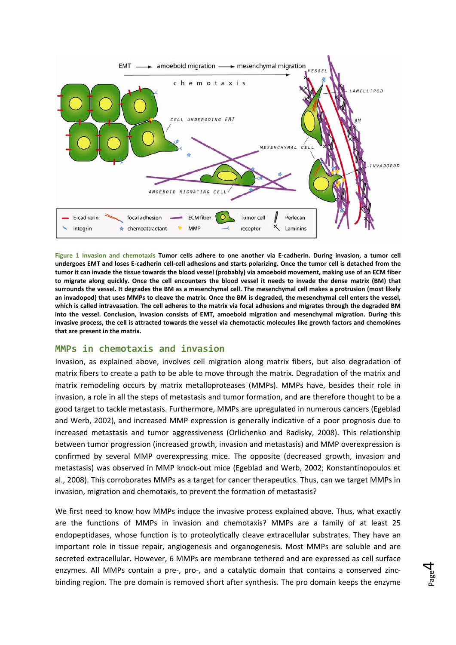

Figure 1 Invasion and chemotaxis Tumor cells adhere to one another via E-cadherin. During invasion, a tumor cell undergoes EMT and loses E-cadherin cell-cell adhesions and starts polarizing. Once the tumor cell is detached from the tumor it can invade the tissue towards the blood vessel (probably) via amoeboid movement, making use of an ECM fiber to migrate along quickly. Once the cell encounters the blood vessel it needs to invade the dense matrix (BM) that surrounds the vessel. It degrades the BM as a mesenchymal cell. The mesenchymal cell makes a protrusion (most likely an invadopod) that uses MMPs to cleave the matrix. Once the BM is degraded, the mesenchymal cell enters the vessel, which is called intravasation. The cell adheres to the matrix via focal adhesions and migrates through the degraded BM **into the vessel. Conclusion, invasion consists of EMT, amoeboid migration and mesenchymal migration. During this** invasive process, the cell is attracted towards the vessel via chemotactic molecules like growth factors and chemokines **that are present in the matrix.** 

# **MMPs in chemotaxis and invasion**

Invasion, as explained above, involves cell migration along matrix fibers, but also degradation of matrix fibers to create a path to be able to move through the matrix. Degradation of the matrix and matrix remodeling occurs by matrix metalloproteases (MMPs). MMPs have, besides their role in invasion, a role in all the steps of metastasis and tumor formation, and are therefore thought to be a good target to tackle metastasis. Furthermore, MMPs are upregulated in numerous cancers (Egeblad and Werb, 2002), and increased MMP expression is generally indicative of a poor prognosis due to increased metastasis and tumor aggressiveness (Orlichenko and Radisky, 2008). This relationship between tumor progression (increased growth, invasion and metastasis) and MMP overexpression is confirmed by several MMP overexpressing mice. The opposite (decreased growth, invasion and metastasis) was observed in MMP knock‐out mice (Egeblad and Werb, 2002; Konstantinopoulos et al., 2008). This corroborates MMPs as a target for cancer therapeutics. Thus, can we target MMPs in invasion, migration and chemotaxis, to prevent the formation of metastasis?

We first need to know how MMPs induce the invasive process explained above. Thus, what exactly are the functions of MMPs in invasion and chemotaxis? MMPs are a family of at least 25 endopeptidases, whose function is to proteolytically cleave extracellular substrates. They have an important role in tissue repair, angiogenesis and organogenesis. Most MMPs are soluble and are secreted extracellular. However, 6 MMPs are membrane tethered and are expressed as cell surface enzymes. All MMPs contain a pre-, pro-, and a catalytic domain that contains a conserved zincbinding region. The pre domain is removed short after synthesis. The pro domain keeps the enzyme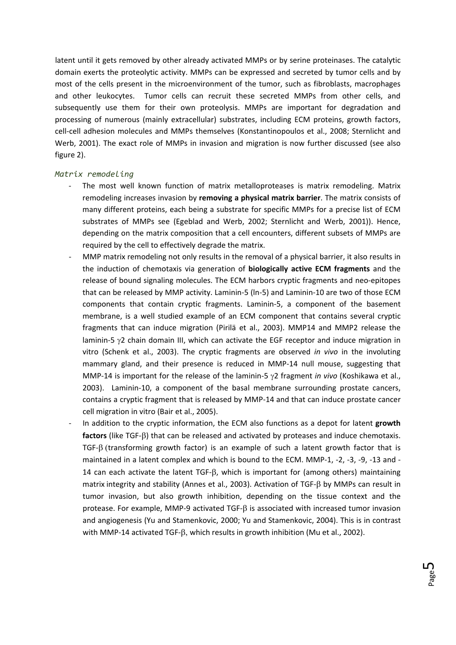latent until it gets removed by other already activated MMPs or by serine proteinases. The catalytic domain exerts the proteolytic activity. MMPs can be expressed and secreted by tumor cells and by most of the cells present in the microenvironment of the tumor, such as fibroblasts, macrophages and other leukocytes. Tumor cells can recruit these secreted MMPs from other cells, and subsequently use them for their own proteolysis. MMPs are important for degradation and processing of numerous (mainly extracellular) substrates, including ECM proteins, growth factors, cell‐cell adhesion molecules and MMPs themselves (Konstantinopoulos et al., 2008; Sternlicht and Werb, 2001). The exact role of MMPs in invasion and migration is now further discussed (see also figure 2).

#### *Matrix remodeling*

- The most well known function of matrix metalloproteases is matrix remodeling. Matrix remodeling increases invasion by **removing a physical matrix barrier**. The matrix consists of many different proteins, each being a substrate for specific MMPs for a precise list of ECM substrates of MMPs see (Egeblad and Werb, 2002; Sternlicht and Werb, 2001)). Hence, depending on the matrix composition that a cell encounters, different subsets of MMPs are required by the cell to effectively degrade the matrix.
- MMP matrix remodeling not only results in the removal of a physical barrier, it also results in the induction of chemotaxis via generation of **biologically active ECM fragments** and the release of bound signaling molecules. The ECM harbors cryptic fragments and neo‐epitopes that can be released by MMP activity. Laminin‐5 (ln‐5) and Laminin‐10 are two of those ECM components that contain cryptic fragments. Laminin‐5, a component of the basement membrane, is a well studied example of an ECM component that contains several cryptic fragments that can induce migration (Pirilä et al., 2003). MMP14 and MMP2 release the laminin-5  $\gamma$ 2 chain domain III, which can activate the EGF receptor and induce migration in vitro (Schenk et al., 2003). The cryptic fragments are observed *in vivo* in the involuting mammary gland, and their presence is reduced in MMP‐14 null mouse, suggesting that MMP‐14 is important for the release of the laminin‐5 γ2 fragment *in vivo* (Koshikawa et al., 2003). Laminin-10, a component of the basal membrane surrounding prostate cancers, contains a cryptic fragment that is released by MMP‐14 and that can induce prostate cancer cell migration in vitro (Bair et al., 2005).
- ‐ In addition to the cryptic information, the ECM also functions as a depot for latent **growth factors** (like TGF‐β) that can be released and activated by proteases and induce chemotaxis. TGF- $\beta$  (transforming growth factor) is an example of such a latent growth factor that is maintained in a latent complex and which is bound to the ECM. MMP-1, -2, -3, -9, -13 and -14 can each activate the latent TGF‐β, which is important for (among others) maintaining matrix integrity and stability (Annes et al., 2003). Activation of TGF‐β by MMPs can result in tumor invasion, but also growth inhibition, depending on the tissue context and the protease. For example, MMP‐9 activated TGF‐β is associated with increased tumor invasion and angiogenesis (Yu and Stamenkovic, 2000; Yu and Stamenkovic, 2004). This is in contrast with MMP‐14 activated TGF‐β, which results in growth inhibition (Mu et al., 2002).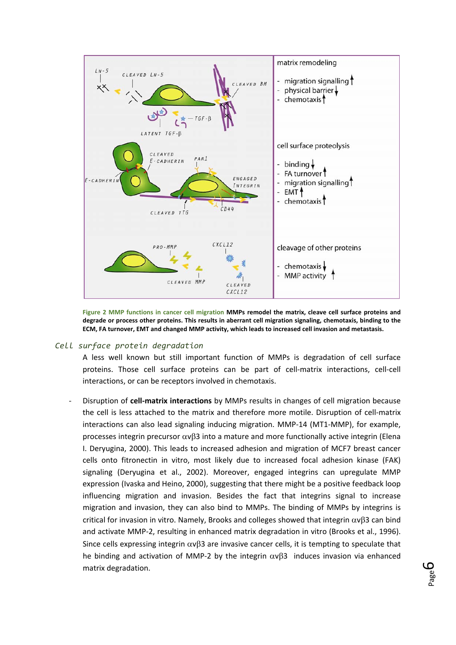

**Figure 2 MMP functions in cancer cell migration MMPs remodel the matrix, cleave cell surface proteins and degrade or process other proteins. This results in aberrant cell migration signaling, chemotaxis, binding to the ECM, FA turnover, EMT and changed MMP activity, which leads to increased cell invasion and metastasis.** 

#### *Cell surface protein degradation*

A less well known but still important function of MMPs is degradation of cell surface proteins. Those cell surface proteins can be part of cell-matrix interactions, cell-cell interactions, or can be receptors involved in chemotaxis.

‐ Disruption of **cell‐matrix interactions** by MMPs results in changes of cell migration because the cell is less attached to the matrix and therefore more motile. Disruption of cell-matrix interactions can also lead signaling inducing migration. MMP‐14 (MT1‐MMP), for example, processes integrin precursor αvβ3 into a mature and more functionally active integrin (Elena I. Deryugina, 2000). This leads to increased adhesion and migration of MCF7 breast cancer cells onto fitronectin in vitro, most likely due to increased focal adhesion kinase (FAK) signaling (Deryugina et al., 2002). Moreover, engaged integrins can upregulate MMP expression (Ivaska and Heino, 2000), suggesting that there might be a positive feedback loop influencing migration and invasion. Besides the fact that integrins signal to increase migration and invasion, they can also bind to MMPs. The binding of MMPs by integrins is critical for invasion in vitro. Namely, Brooks and colleges showed that integrin αvβ3 can bind and activate MMP-2, resulting in enhanced matrix degradation in vitro (Brooks et al., 1996). Since cells expressing integrin  $\alpha v\beta$ 3 are invasive cancer cells, it is tempting to speculate that he binding and activation of MMP-2 by the integrin  $\alpha v\beta3$  induces invasion via enhanced matrix degradation.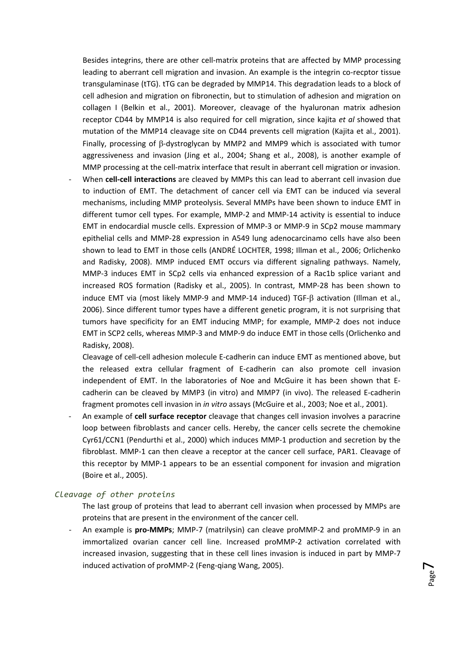Besides integrins, there are other cell-matrix proteins that are affected by MMP processing leading to aberrant cell migration and invasion. An example is the integrin co-recptor tissue transgulaminase (tTG). tTG can be degraded by MMP14. This degradation leads to a block of cell adhesion and migration on fibronectin, but to stimulation of adhesion and migration on collagen I (Belkin et al., 2001). Moreover, cleavage of the hyaluronan matrix adhesion receptor CD44 by MMP14 is also required for cell migration, since kajita *et al* showed that mutation of the MMP14 cleavage site on CD44 prevents cell migration (Kajita et al., 2001). Finally, processing of β‐dystroglycan by MMP2 and MMP9 which is associated with tumor aggressiveness and invasion (Jing et al., 2004; Shang et al., 2008), is another example of MMP processing at the cell-matrix interface that result in aberrant cell migration or invasion.

‐ When **cell‐cell interactions** are cleaved by MMPs this can lead to aberrant cell invasion due to induction of EMT. The detachment of cancer cell via EMT can be induced via several mechanisms, including MMP proteolysis. Several MMPs have been shown to induce EMT in different tumor cell types. For example, MMP‐2 and MMP‐14 activity is essential to induce EMT in endocardial muscle cells. Expression of MMP‐3 or MMP‐9 in SCp2 mouse mammary epithelial cells and MMP‐28 expression in A549 lung adenocarcinamo cells have also been shown to lead to EMT in those cells (ANDRÉ LOCHTER, 1998; Illman et al., 2006; Orlichenko and Radisky, 2008). MMP induced EMT occurs via different signaling pathways. Namely, MMP‐3 induces EMT in SCp2 cells via enhanced expression of a Rac1b splice variant and increased ROS formation (Radisky et al., 2005). In contrast, MMP‐28 has been shown to induce EMT via (most likely MMP‐9 and MMP‐14 induced) TGF‐β activation (Illman et al., 2006). Since different tumor types have a different genetic program, it is not surprising that tumors have specificity for an EMT inducing MMP; for example, MMP‐2 does not induce EMT in SCP2 cells, whereas MMP‐3 and MMP‐9 do induce EMT in those cells (Orlichenko and Radisky, 2008).

Cleavage of cell‐cell adhesion molecule E‐cadherin can induce EMT as mentioned above, but the released extra cellular fragment of E‐cadherin can also promote cell invasion independent of EMT. In the laboratories of Noe and McGuire it has been shown that E‐ cadherin can be cleaved by MMP3 (in vitro) and MMP7 (in vivo). The released E‐cadherin fragment promotes cell invasion in *in vitro* assays (McGuire et al., 2003; Noe et al., 2001).

‐ An example of **cell surface receptor** cleavage that changes cell invasion involves a paracrine loop between fibroblasts and cancer cells. Hereby, the cancer cells secrete the chemokine Cyr61/CCN1 (Pendurthi et al., 2000) which induces MMP‐1 production and secretion by the fibroblast. MMP-1 can then cleave a receptor at the cancer cell surface, PAR1. Cleavage of this receptor by MMP‐1 appears to be an essential component for invasion and migration (Boire et al., 2005).

#### *Cleavage of other proteins*

- The last group of proteins that lead to aberrant cell invasion when processed by MMPs are proteins that are present in the environment of the cancer cell.
- ‐ An example is **pro‐MMPs**; MMP‐7 (matrilysin) can cleave proMMP‐2 and proMMP‐9 in an immortalized ovarian cancer cell line. Increased proMMP‐2 activation correlated with increased invasion, suggesting that in these cell lines invasion is induced in part by MMP‐7 induced activation of proMMP‐2 (Feng‐qiang Wang, 2005).

Page  $\overline{\phantom{a}}$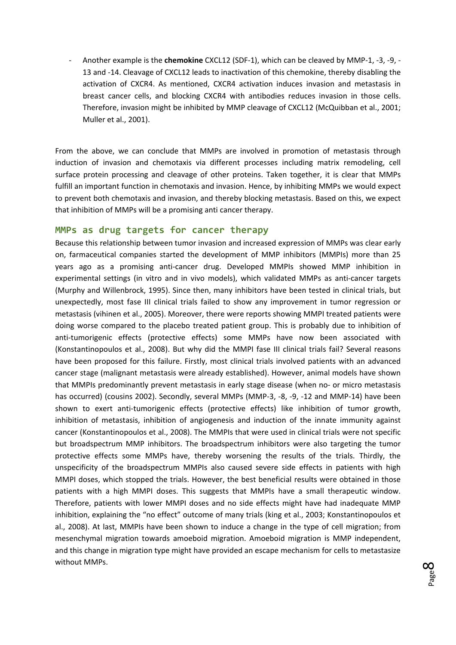‐ Another example is the **chemokine** CXCL12 (SDF‐1), which can be cleaved by MMP‐1, ‐3, ‐9, ‐ 13 and -14. Cleavage of CXCL12 leads to inactivation of this chemokine, thereby disabling the activation of CXCR4. As mentioned, CXCR4 activation induces invasion and metastasis in breast cancer cells, and blocking CXCR4 with antibodies reduces invasion in those cells. Therefore, invasion might be inhibited by MMP cleavage of CXCL12 (McQuibban et al., 2001; Muller et al., 2001).

From the above, we can conclude that MMPs are involved in promotion of metastasis through induction of invasion and chemotaxis via different processes including matrix remodeling, cell surface protein processing and cleavage of other proteins. Taken together, it is clear that MMPs fulfill an important function in chemotaxis and invasion. Hence, by inhibiting MMPs we would expect to prevent both chemotaxis and invasion, and thereby blocking metastasis. Based on this, we expect that inhibition of MMPs will be a promising anti cancer therapy.

#### **MMPs as drug targets for cancer therapy**

Because this relationship between tumor invasion and increased expression of MMPs was clear early on, farmaceutical companies started the development of MMP inhibitors (MMPIs) more than 25 years ago as a promising anti‐cancer drug. Developed MMPIs showed MMP inhibition in experimental settings (in vitro and in vivo models), which validated MMPs as anti-cancer targets (Murphy and Willenbrock, 1995). Since then, many inhibitors have been tested in clinical trials, but unexpectedly, most fase III clinical trials failed to show any improvement in tumor regression or metastasis (vihinen et al., 2005). Moreover, there were reports showing MMPI treated patients were doing worse compared to the placebo treated patient group. This is probably due to inhibition of anti-tumorigenic effects (protective effects) some MMPs have now been associated with (Konstantinopoulos et al., 2008). But why did the MMPI fase III clinical trials fail? Several reasons have been proposed for this failure. Firstly, most clinical trials involved patients with an advanced cancer stage (malignant metastasis were already established). However, animal models have shown that MMPIs predominantly prevent metastasis in early stage disease (when no‐ or micro metastasis has occurred) (cousins 2002). Secondly, several MMPs (MMP-3, -8, -9, -12 and MMP-14) have been shown to exert anti-tumorigenic effects (protective effects) like inhibition of tumor growth, inhibition of metastasis, inhibition of angiogenesis and induction of the innate immunity against cancer (Konstantinopoulos et al., 2008). The MMPIs that were used in clinical trials were not specific but broadspectrum MMP inhibitors. The broadspectrum inhibitors were also targeting the tumor protective effects some MMPs have, thereby worsening the results of the trials. Thirdly, the unspecificity of the broadspectrum MMPIs also caused severe side effects in patients with high MMPI doses, which stopped the trials. However, the best beneficial results were obtained in those patients with a high MMPI doses. This suggests that MMPIs have a small therapeutic window. Therefore, patients with lower MMPI doses and no side effects might have had inadequate MMP inhibition, explaining the "no effect" outcome of many trials (king et al., 2003; Konstantinopoulos et al., 2008). At last, MMPIs have been shown to induce a change in the type of cell migration; from mesenchymal migration towards amoeboid migration. Amoeboid migration is MMP independent, and this change in migration type might have provided an escape mechanism for cells to metastasize without MMPs.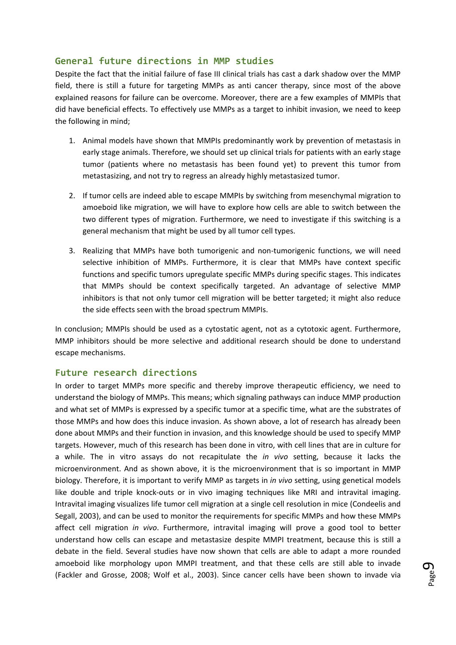# **General future directions in MMP studies**

Despite the fact that the initial failure of fase III clinical trials has cast a dark shadow over the MMP field, there is still a future for targeting MMPs as anti cancer therapy, since most of the above explained reasons for failure can be overcome. Moreover, there are a few examples of MMPIs that did have beneficial effects. To effectively use MMPs as a target to inhibit invasion, we need to keep the following in mind;

- 1. Animal models have shown that MMPIs predominantly work by prevention of metastasis in early stage animals. Therefore, we should set up clinical trials for patients with an early stage tumor (patients where no metastasis has been found yet) to prevent this tumor from metastasizing, and not try to regress an already highly metastasized tumor.
- 2. If tumor cells are indeed able to escape MMPIs by switching from mesenchymal migration to amoeboid like migration, we will have to explore how cells are able to switch between the two different types of migration. Furthermore, we need to investigate if this switching is a general mechanism that might be used by all tumor cell types.
- 3. Realizing that MMPs have both tumorigenic and non‐tumorigenic functions, we will need selective inhibition of MMPs. Furthermore, it is clear that MMPs have context specific functions and specific tumors upregulate specific MMPs during specific stages. This indicates that MMPs should be context specifically targeted. An advantage of selective MMP inhibitors is that not only tumor cell migration will be better targeted; it might also reduce the side effects seen with the broad spectrum MMPIs.

In conclusion; MMPIs should be used as a cytostatic agent, not as a cytotoxic agent. Furthermore, MMP inhibitors should be more selective and additional research should be done to understand escape mechanisms.

# **Future research directions**

In order to target MMPs more specific and thereby improve therapeutic efficiency, we need to understand the biology of MMPs. This means; which signaling pathways can induce MMP production and what set of MMPs is expressed by a specific tumor at a specific time, what are the substrates of those MMPs and how does this induce invasion. As shown above, a lot of research has already been done about MMPs and their function in invasion, and this knowledge should be used to specify MMP targets. However, much of this research has been done in vitro, with cell lines that are in culture for a while. The in vitro assays do not recapitulate the *in vivo* setting, because it lacks the microenvironment. And as shown above, it is the microenvironment that is so important in MMP biology. Therefore, it is important to verify MMP as targets in *in vivo* setting, using genetical models like double and triple knock‐outs or in vivo imaging techniques like MRI and intravital imaging. Intravital imaging visualizes life tumor cell migration at a single cell resolution in mice (Condeelis and Segall, 2003), and can be used to monitor the requirements for specific MMPs and how these MMPs affect cell migration *in vivo*. Furthermore, intravital imaging will prove a good tool to better understand how cells can escape and metastasize despite MMPI treatment, because this is still a debate in the field. Several studies have now shown that cells are able to adapt a more rounded amoeboid like morphology upon MMPI treatment, and that these cells are still able to invade (Fackler and Grosse, 2008; Wolf et al., 2003). Since cancer cells have been shown to invade via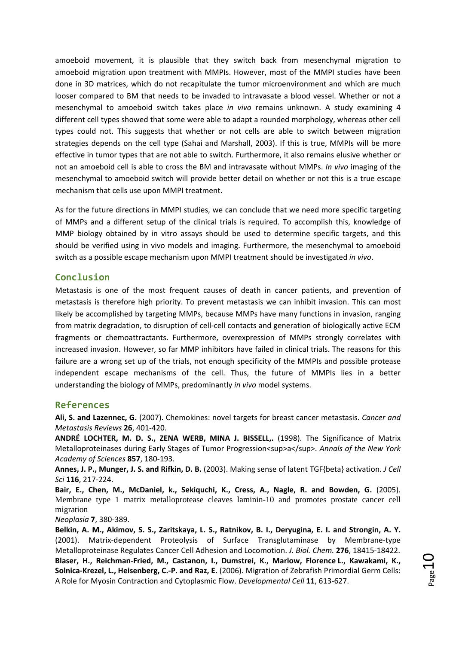amoeboid movement, it is plausible that they switch back from mesenchymal migration to amoeboid migration upon treatment with MMPIs. However, most of the MMPI studies have been done in 3D matrices, which do not recapitulate the tumor microenvironment and which are much looser compared to BM that needs to be invaded to intravasate a blood vessel. Whether or not a mesenchymal to amoeboid switch takes place *in vivo* remains unknown. A study examining 4 different cell types showed that some were able to adapt a rounded morphology, whereas other cell types could not. This suggests that whether or not cells are able to switch between migration strategies depends on the cell type (Sahai and Marshall, 2003). If this is true, MMPIs will be more effective in tumor types that are not able to switch. Furthermore, it also remains elusive whether or not an amoeboid cell is able to cross the BM and intravasate without MMPs. *In vivo* imaging of the mesenchymal to amoeboid switch will provide better detail on whether or not this is a true escape mechanism that cells use upon MMPI treatment.

As for the future directions in MMPI studies, we can conclude that we need more specific targeting of MMPs and a different setup of the clinical trials is required. To accomplish this, knowledge of MMP biology obtained by in vitro assays should be used to determine specific targets, and this should be verified using in vivo models and imaging. Furthermore, the mesenchymal to amoeboid switch as a possible escape mechanism upon MMPI treatment should be investigated *in vivo*.

#### **Conclusion**

Metastasis is one of the most frequent causes of death in cancer patients, and prevention of metastasis is therefore high priority. To prevent metastasis we can inhibit invasion. This can most likely be accomplished by targeting MMPs, because MMPs have many functions in invasion, ranging from matrix degradation, to disruption of cell‐cell contacts and generation of biologically active ECM fragments or chemoattractants. Furthermore, overexpression of MMPs strongly correlates with increased invasion. However, so far MMP inhibitors have failed in clinical trials. The reasons for this failure are a wrong set up of the trials, not enough specificity of the MMPIs and possible protease independent escape mechanisms of the cell. Thus, the future of MMPIs lies in a better understanding the biology of MMPs, predominantly *in vivo* model systems.

#### **References**

**Ali, S. and Lazennec, G.** (2007). Chemokines: novel targets for breast cancer metastasis. *Cancer and Metastasis Reviews* **26**, 401‐420.

**ANDRÉ LOCHTER, M. D. S., ZENA WERB, MINA J. BISSELL,.** (1998). The Significance of Matrix Metalloproteinases during Early Stages of Tumor Progression<sup>a</sup>. *Annals of the New York Academy of Sciences* **857**, 180‐193.

**Annes, J. P., Munger, J. S. and Rifkin, D. B.** (2003). Making sense of latent TGF{beta} activation. *J Cell Sci* **116**, 217‐224.

**Bair, E., Chen, M., McDaniel, k., Sekiquchi, K., Cress, A., Nagle, R. and Bowden, G.** (2005). Membrane type 1 matrix metalloprotease cleaves laminin-10 and promotes prostate cancer cell migration

*Neoplasia* **7**, 380‐389.

Belkin, A. M., Akimov, S. S., Zaritskaya, L. S., Ratnikov, B. I., Deryugina, E. I. and Strongin, A. Y. (2001). Matrix‐dependent Proteolysis of Surface Transglutaminase by Membrane‐type Metalloproteinase Regulates Cancer Cell Adhesion and Locomotion. *J. Biol. Chem.* **276**, 18415‐18422. **Blaser, H., Reichman‐Fried, M., Castanon, I., Dumstrei, K., Marlow, Florence L., Kawakami, K., Solnica‐Krezel, L., Heisenberg, C.‐P. and Raz, E.** (2006). Migration of Zebrafish Primordial Germ Cells: A Role for Myosin Contraction and Cytoplasmic Flow. *Developmental Cell* **11**, 613‐627.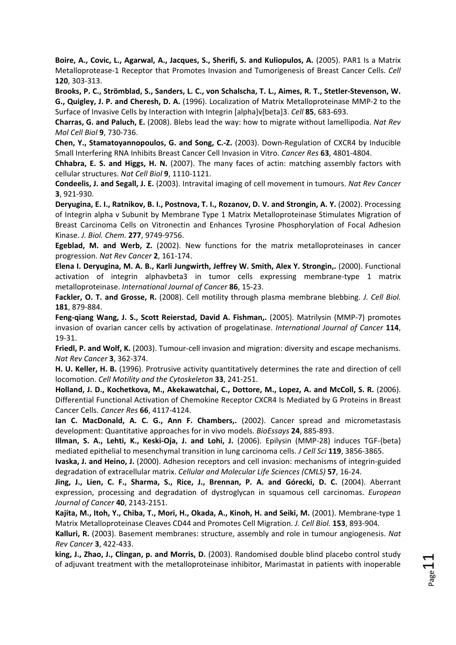**Boire, A., Covic, L., Agarwal, A., Jacques, S., Sherifi, S. and Kuliopulos, A.** (2005). PAR1 Is a Matrix Metalloprotease‐1 Receptor that Promotes Invasion and Tumorigenesis of Breast Cancer Cells. *Cell* **120**, 303‐313.

Brooks, P. C., Strömblad, S., Sanders, L. C., von Schalscha, T. L., Aimes, R. T., Stetler-Stevenson, W. **G., Quigley, J. P. and Cheresh, D. A.** (1996). Localization of Matrix Metalloproteinase MMP‐2 to the Surface of Invasive Cells by Interaction with Integrin [alpha]v[beta]3. *Cell* **85**, 683‐693.

**Charras, G. and Paluch, E.** (2008). Blebs lead the way: how to migrate without lamellipodia. *Nat Rev Mol Cell Biol* **9**, 730‐736.

**Chen, Y., Stamatoyannopoulos, G. and Song, C.‐Z.** (2003). Down‐Regulation of CXCR4 by Inducible Small Interfering RNA Inhibits Breast Cancer Cell Invasion in Vitro. *Cancer Res* **63**, 4801‐4804.

**Chhabra, E. S. and Higgs, H. N.** (2007). The many faces of actin: matching assembly factors with cellular structures. *Nat Cell Biol* **9**, 1110‐1121.

**Condeelis, J. and Segall, J. E.** (2003). Intravital imaging of cell movement in tumours. *Nat Rev Cancer* **3**, 921‐930.

**Deryugina, E. I., Ratnikov, B. I., Postnova, T. I., Rozanov, D. V. and Strongin, A. Y.** (2002). Processing of Integrin alpha v Subunit by Membrane Type 1 Matrix Metalloproteinase Stimulates Migration of Breast Carcinoma Cells on Vitronectin and Enhances Tyrosine Phosphorylation of Focal Adhesion Kinase. *J. Biol. Chem.* **277**, 9749‐9756.

**Egeblad, M. and Werb, Z.** (2002). New functions for the matrix metalloproteinases in cancer progression. *Nat Rev Cancer* **2**, 161‐174.

**Elena I. Deryugina, M. A. B., Karli Jungwirth, Jeffrey W. Smith, Alex Y. Strongin,.** (2000). Functional activation of integrin alphavbeta3 in tumor cells expressing membrane‐type 1 matrix metalloproteinase. *International Journal of Cancer* **86**, 15‐23.

**Fackler, O. T. and Grosse, R.** (2008). Cell motility through plasma membrane blebbing. *J. Cell Biol.* **181**, 879‐884.

**Feng‐qiang Wang, J. S., Scott Reierstad, David A. Fishman,.** (2005). Matrilysin (MMP‐7) promotes invasion of ovarian cancer cells by activation of progelatinase. *International Journal of Cancer* **114**, 19‐31.

**Friedl, P. and Wolf, K.** (2003). Tumour‐cell invasion and migration: diversity and escape mechanisms. *Nat Rev Cancer* **3**, 362‐374.

**H. U. Keller, H. B.** (1996). Protrusive activity quantitatively determines the rate and direction of cell locomotion. *Cell Motility and the Cytoskeleton* **33**, 241‐251.

**Holland, J. D., Kochetkova, M., Akekawatchai, C., Dottore, M., Lopez, A. and McColl, S. R.** (2006). Differential Functional Activation of Chemokine Receptor CXCR4 Is Mediated by G Proteins in Breast Cancer Cells. *Cancer Res* **66**, 4117‐4124.

**Ian C. MacDonald, A. C. G., Ann F. Chambers,.** (2002). Cancer spread and micrometastasis development: Quantitative approaches for in vivo models. *BioEssays* **24**, 885‐893.

**Illman, S. A., Lehti, K., Keski‐Oja, J. and Lohi, J.** (2006). Epilysin (MMP‐28) induces TGF‐{beta} mediated epithelial to mesenchymal transition in lung carcinoma cells. *J Cell Sci* **119**, 3856‐3865.

**Ivaska, J. and Heino, J.** (2000). Adhesion receptors and cell invasion: mechanisms of integrin‐guided degradation of extracellular matrix. *Cellular and Molecular Life Sciences (CMLS)* **57**, 16‐24.

**Jing, J., Lien, C. F., Sharma, S., Rice, J., Brennan, P. A. and Górecki, D. C.** (2004). Aberrant expression, processing and degradation of dystroglycan in squamous cell carcinomas. *European Journal of Cancer* **40**, 2143‐2151.

**Kajita, M., Itoh, Y., Chiba, T., Mori, H., Okada, A., Kinoh, H. and Seiki, M.** (2001). Membrane‐type 1 Matrix Metalloproteinase Cleaves CD44 and Promotes Cell Migration. *J. Cell Biol.* **153**, 893‐904.

**Kalluri, R.** (2003). Basement membranes: structure, assembly and role in tumour angiogenesis. *Nat Rev Cancer* **3**, 422‐433.

**king, J., Zhao, J., Clingan, p. and Morris, D.** (2003). Randomised double blind placebo control study of adjuvant treatment with the metalloproteinase inhibitor, Marimastat in patients with inoperable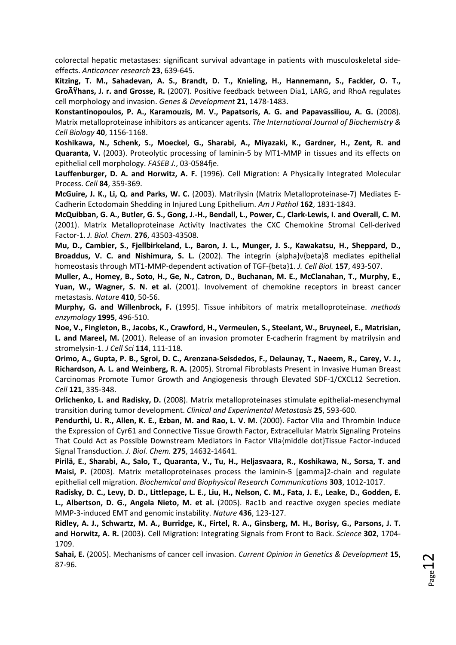colorectal hepatic metastases: significant survival advantage in patients with musculoskeletal side‐ effects. *Anticancer research* **23**, 639‐645.

**Kitzing, T. M., Sahadevan, A. S., Brandt, D. T., Knieling, H., Hannemann, S., Fackler, O. T., Großhans, J. r. and Grosse, R.** (2007). Positive feedback between Dia1, LARG, and RhoA regulates cell morphology and invasion. *Genes & Development* **21**, 1478‐1483.

**Konstantinopoulos, P. A., Karamouzis, M. V., Papatsoris, A. G. and Papavassiliou, A. G.** (2008). Matrix metalloproteinase inhibitors as anticancer agents. *The International Journal of Biochemistry & Cell Biology* **40**, 1156‐1168.

**Koshikawa, N., Schenk, S., Moeckel, G., Sharabi, A., Miyazaki, K., Gardner, H., Zent, R. and Quaranta, V.** (2003). Proteolytic processing of laminin‐5 by MT1‐MMP in tissues and its effects on epithelial cell morphology. *FASEB J.*, 03‐0584fje.

**Lauffenburger, D. A. and Horwitz, A. F.** (1996). Cell Migration: A Physically Integrated Molecular Process. *Cell* **84**, 359‐369.

**McGuire, J. K., Li, Q. and Parks, W. C.** (2003). Matrilysin (Matrix Metalloproteinase‐7) Mediates E‐ Cadherin Ectodomain Shedding in Injured Lung Epithelium. *Am J Pathol* **162**, 1831‐1843.

McQuibban, G. A., Butler, G. S., Gong, J.-H., Bendall, L., Power, C., Clark-Lewis, I. and Overall, C. M. (2001). Matrix Metalloproteinase Activity Inactivates the CXC Chemokine Stromal Cell‐derived Factor‐1. *J. Biol. Chem.* **276**, 43503‐43508.

**Mu, D., Cambier, S., Fjellbirkeland, L., Baron, J. L., Munger, J. S., Kawakatsu, H., Sheppard, D., Broaddus, V. C. and Nishimura, S. L.** (2002). The integrin {alpha}v{beta}8 mediates epithelial homeostasis through MT1‐MMP‐dependent activation of TGF‐{beta}1. *J. Cell Biol.* **157**, 493‐507.

**Muller, A., Homey, B., Soto, H., Ge, N., Catron, D., Buchanan, M. E., McClanahan, T., Murphy, E., Yuan, W., Wagner, S. N. et al.** (2001). Involvement of chemokine receptors in breast cancer metastasis. *Nature* **410**, 50‐56.

**Murphy, G. and Willenbrock, F.** (1995). Tissue inhibitors of matrix metalloproteinase. *methods enzymology* **1995**, 496‐510.

**Noe, V., Fingleton, B., Jacobs, K., Crawford, H., Vermeulen, S., Steelant, W., Bruyneel, E., Matrisian, L. and Mareel, M.** (2001). Release of an invasion promoter E‐cadherin fragment by matrilysin and stromelysin‐1. *J Cell Sci* **114**, 111‐118.

Orimo, A., Gupta, P. B., Sgroi, D. C., Arenzana-Seisdedos, F., Delaunay, T., Naeem, R., Carey, V. J., **Richardson, A. L. and Weinberg, R. A.** (2005). Stromal Fibroblasts Present in Invasive Human Breast Carcinomas Promote Tumor Growth and Angiogenesis through Elevated SDF‐1/CXCL12 Secretion. *Cell* **121**, 335‐348.

**Orlichenko, L. and Radisky, D.** (2008). Matrix metalloproteinases stimulate epithelial‐mesenchymal transition during tumor development. *Clinical and Experimental Metastasis* **25**, 593‐600.

**Pendurthi, U. R., Allen, K. E., Ezban, M. and Rao, L. V. M.** (2000). Factor VIIa and Thrombin Induce the Expression of Cyr61 and Connective Tissue Growth Factor, Extracellular Matrix Signaling Proteins That Could Act as Possible Downstream Mediators in Factor VIIa{middle dot}Tissue Factor‐induced Signal Transduction. *J. Biol. Chem.* **275**, 14632‐14641.

**Pirilä, E., Sharabi, A., Salo, T., Quaranta, V., Tu, H., Heljasvaara, R., Koshikawa, N., Sorsa, T. and Maisi, P.** (2003). Matrix metalloproteinases process the laminin‐5 [gamma]2‐chain and regulate epithelial cell migration. *Biochemical and Biophysical Research Communications* **303**, 1012‐1017.

Radisky, D. C., Levy, D. D., Littlepage, L. E., Liu, H., Nelson, C. M., Fata, J. E., Leake, D., Godden, E. **L., Albertson, D. G., Angela Nieto, M. et al.** (2005). Rac1b and reactive oxygen species mediate MMP‐3‐induced EMT and genomic instability. *Nature* **436**, 123‐127.

Ridley, A. J., Schwartz, M. A., Burridge, K., Firtel, R. A., Ginsberg, M. H., Borisy, G., Parsons, J. T. **and Horwitz, A. R.** (2003). Cell Migration: Integrating Signals from Front to Back. *Science* **302**, 1704‐ 1709.

**Sahai, E.** (2005). Mechanisms of cancer cell invasion. *Current Opinion in Genetics & Development* **15**, 87‐96.